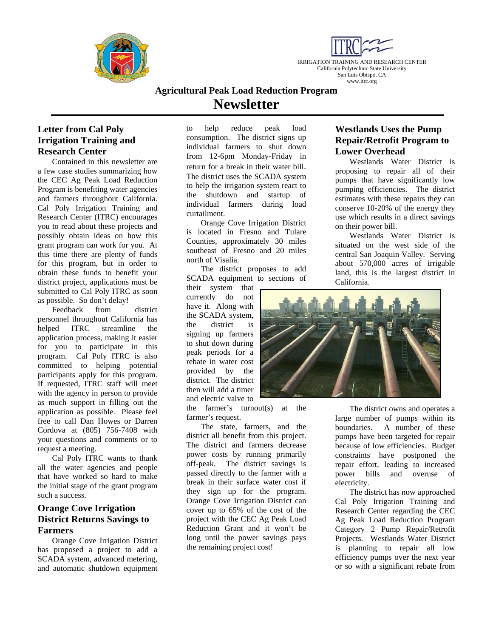



# **Agricultural Peak Load Reduction Program Newsletter**

### **Letter from Cal Poly Irrigation Training and Research Center**

Contained in this newsletter are a few case studies summarizing how the CEC Ag Peak Load Reduction Program is benefiting water agencies and farmers throughout California. Cal Poly Irrigation Training and Research Center (ITRC) encourages you to read about these projects and possibly obtain ideas on how this grant program can work for you. At this time there are plenty of funds for this program, but in order to obtain these funds to benefit your district project, applications must be submitted to Cal Poly ITRC as soon as possible. So don't delay!

Feedback from district personnel throughout California has helped ITRC streamline the application process, making it easier for you to participate in this program. Cal Poly ITRC is also committed to helping potential participants apply for this program. If requested, ITRC staff will meet with the agency in person to provide as much support in filling out the application as possible. Please feel free to call Dan Howes or Darren Cordova at (805) 756-7408 with your questions and comments or to request a meeting.

Cal Poly ITRC wants to thank all the water agencies and people that have worked so hard to make the initial stage of the grant program such a success.

## **Orange Cove Irrigation District Returns Savings to Farmers**

 Orange Cove Irrigation District has proposed a project to add a SCADA system, advanced metering, and automatic shutdown equipment

to help reduce peak load consumption. The district signs up individual farmers to shut down from 12-6pm Monday-Friday in return for a break in their water bill. The district uses the SCADA system to help the irrigation system react to the shutdown and startup of individual farmers during load curtailment.

Orange Cove Irrigation District is located in Fresno and Tulare Counties, approximately 30 miles southeast of Fresno and 20 miles north of Visalia.

The district proposes to add SCADA equipment to sections of

their system that currently do not have it. Along with the SCADA system, the district is signing up farmers to shut down during peak periods for a rebate in water cost provided by the district. The district then will add a timer and electric valve to

the farmer's turnout(s) at the farmer's request.

The state, farmers, and the district all benefit from this project. The district and farmers decrease power costs by running primarily off-peak. The district savings is passed directly to the farmer with a break in their surface water cost if they sign up for the program. Orange Cove Irrigation District can cover up to 65% of the cost of the project with the CEC Ag Peak Load Reduction Grant and it won't be long until the power savings pays the remaining project cost!

### **Westlands Uses the Pump Repair/Retrofit Program to Lower Overhead**

Westlands Water District is proposing to repair all of their pumps that have significantly low pumping efficiencies. The district estimates with these repairs they can conserve 10-20% of the energy they use which results in a direct savings on their power bill.

Westlands Water District is situated on the west side of the central San Joaquin Valley. Serving about 570,000 acres of irrigable land, this is the largest district in California.



The district owns and operates a large number of pumps within its boundaries. A number of these pumps have been targeted for repair because of low efficiencies. Budget constraints have postponed the repair effort, leading to increased power bills and overuse of electricity.

The district has now approached Cal Poly Irrigation Training and Research Center regarding the CEC Ag Peak Load Reduction Program Category 2 Pump Repair/Retrofit Projects. Westlands Water District is planning to repair all low efficiency pumps over the next year or so with a significant rebate from